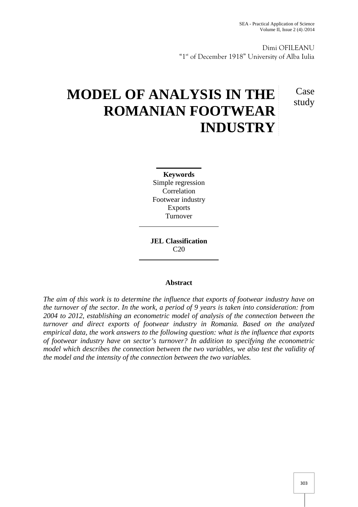Case study

Dimi OFILEANU "1<sup>st</sup> of December 1918" University of Alba Iulia

# **MODEL OF ANALYSIS IN THE ROMANIAN FOOTWEAR INDUSTRY**

**Keywords** Simple regression Correlation Footwear industry Exports Turnover

**JEL Classification**  $C20$ 

## **Abstract**

*The aim of this work is to determine the influence that exports of footwear industry have on the turnover of the sector. In the work, a period of 9 years is taken into consideration: from 2004 to 2012, establishing an econometric model of analysis of the connection between the turnover and direct exports of footwear industry in Romania. Based on the analyzed empirical data, the work answers to the following question: what is the influence that exports of footwear industry have on sector's turnover? In addition to specifying the econometric model which describes the connection between the two variables, we also test the validity of the model and the intensity of the connection between the two variables.*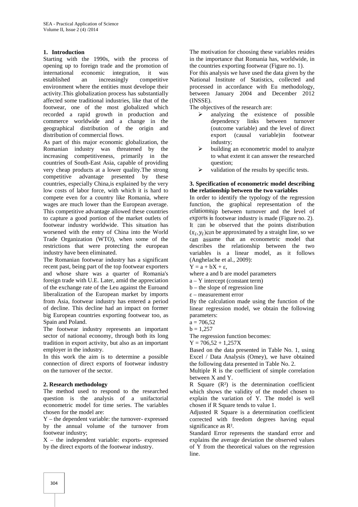## **1. Introduction**

Starting with the 1990s, with the process of opening up to foreign trade and the promotion of international economic integration, it was established an increasingly competitive environment where the entities must develope their activity.This globalization process has substantially affected some traditional industries, like that of the footwear, one of the most globalized which recorded a rapid growth in production and commerce worldwide and a change in the geographical distribution of the origin and distribution of commercial flows.

As part of this major economic globalization, the Romanian industry was threatened by the increasing competitiveness, primarily in the countries of South-East Asia, capable of providing very cheap products at a lower quality.The strong competitive advantage presented by these countries, especially China,is explained by the very low costs of labor force, with which it is hard to compete even for a country like Romania, where wages are much lower than the European average. This competitive advantage allowed these countries to capture a good portion of the market outlets of footwear industry worldwide. This situation has worsened with the entry of China into the World Trade Organization (WTO), when some of the restrictions that were protecting the european industry have been eliminated.

The Romanian footwear industry has a significant recent past, being part of the top footwear exporters and whose share was a quarter of Romania's foreign trade with U.E. Later, amid the appreciation of the exchange rate of the Leu against the Euroand liberalization of the European market by imports from Asia, footwear industry has entered a period of decline. This decline had an impact on former big European countries exporting footwear too, as Spain and Poland.

The footwear industry represents an important sector of national economy, through both its long tradition in export activity, but also as an important employer in the industry.

In this work the aim is to determine a possible connection of direct exports of footwear industry on the turnover of the sector.

## **2. Research methodology**

The method used to respond to the researched question is the analysis of a unifactorial econometric model for time series. The variables chosen for the model are:

Y – the dependent variable: the turnover- expressed by the annual volume of the turnover from footwear industry;

X – the independent variable: exports- expressed by the direct exports of the footwear industry.

The motivation for choosing these variables resides in the importance that Romania has, worldwide, in the countries exporting footwear (Figure no. 1).

For this analysis we have used the data given by the National Institute of Statistics, collected and processed in accordance with Eu methodology, between January 2004 and December 2012 (INSSE).

The objectives of the research are:

- analyzing the existence of possible dependency links between turnover (outcome variable) and the level of direct export (causal variable)in footwear industry;
- building an econometric model to analyze to what extent it can answer the researched question;
- validation of the results by specific tests.

## **3. Specification of econometric model describing the relationship between the two variables**

In order to identify the typology of the regression function, the graphical representation of the relationship between turnover and the level of exports in footwear industry is made (Figure no. 2). It can be observed that the points distribution  $(x_i, y_i)$ can be approximated by a straight line, so we can assume that an econometric model that describes the relationship between the two variables is a linear model, as it follows (Anghelache et al., 2009):

 $Y = a + bX +$ 

where a and b are model parameters

a – Y intercept (constant term)

b – the slope of regression line

– measurement error

By the calculation made using the function of the linear regression model, we obtain the following parameters:

 $b = 1.257$ 

The regression function becomes:

 $Y = 706,52 + 1,257X$ 

Based on the data presented in Table No. 1, using Excel / Data Analysis (Omey), we have obtained the following data presented in Table No. 2.

Multiple R is the coefficient of simple correlation between X and Y.

R Square  $(R<sup>2</sup>)$  is the determination coefficient which shows the validity of the model chosen to explain the variation of Y. The model is well chosen if R Square tends to value 1.

Adjusted R Square is a determination coefficient corrected with freedom degrees having equal significance as R².

Standard Error represents the standard error and explains the average deviation the observed values of Y from the theoretical values on the regression line.

 $a = 706.52$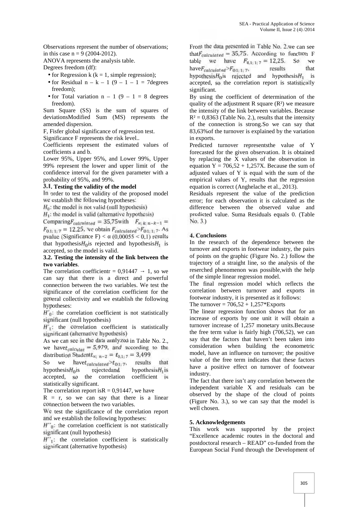Observations represent the number of observations; in this case  $n = 9$  (2004-2012).

ANOVA represents the analysis table.

Degrees freedom (df):

- for Regression k ( $k = 1$ , simple regression);
- for Residual  $n k 1$  (9 1 1 = 7degrees freedom);
- for Total variation  $n 1$  (9 1 = 8 degrees freedom).

Sum Square (SS) is the sum of squares of deviationsModified Sum (MS) represents the amended dispersion.

F, Fisfer global significance of regression test.

Significance F represents the risk level..

Coefficients represent the estimated values of coefficients a and b.

Lower 95%, Upper 95%, and Lower 99%, Upper 99% represent the lower and upper limit of the confidence interval for the given parameter with a probability of 95%, and 99%.

#### **3.1. Testing the validity of the model**

In order to test the validity of the proposed model we establish the following hypotheses:

 $H_0$ : the model is not valid (null hypothesis)

 $H_1$ : the model is valid (alternative hypothesis)

Comparing  $F_{calculated} = 35,75$  with  $F_{\alpha; k; n-k-1} =$  $s_{1;1;7} = 12.25$ , we obtain  $F_{calculated} > F_{0,1;1;7}$ . As pvalue (Significance F)  $<$  (0,00055  $\leq$  0,1) results that hypothesis $H_0$  is rejected and hypothesis  $H_1$  is accepted, so the model is valid.

#### **3.2. Testing the intensity of the link between the two variables**.

The correlation coefficientr =  $0.91447 - 1$ , so we can say that there is a direct and powerful connection between the two variables. We test the significance of the correlation coefficient for the general collectivity and we establish the following hypotheses:

 $H'_0$ : the correlation coefficient is not statistically significant (null hypothesis)

 $H'_{\mathcal{I}}$ : the correlation coefficient is statistically significant (alternative hypotnesis)

As we can see in the data analyzed in Table No. 2., we have  $t_{calculus} = 5.979$ , and according to the distribution Student $t_{\infty; n-2} = t_{0,1,7} = 3,499$ <br>So we have  $t_{calculated} > t_{0,1,7}$ , results

So we have  $t_{calculated} > t_{0.1;7}$ , results that<br>hypothesis  $H_0$  is rejected and hypothesis  $H_1$  is hypothesis $H_0$ is accepted, so the correlation coefficient is statistically significant.

The correlation report is $R = 0.91447$ , we have

 $R = r$ , so we can say that there is a linear connection between the two variables.

We test the significance of the correlation report and we establish the following hypotheses:

 $H^{\prime\prime}$  is the correlation coefficient is not statistically significant (null hypothesis)

 $H''_1$ : the correlation coefficient is statistically significant (alternative hypothesis)

From the data presented in Table No. 2.we can see that  $F_{calculated}$  = 35,75. According to function F table we have  $F_{0,1;1;\,7} = 12,25$ . So we<br>have  $F_{colculated} > F_{0,1;1;\,7}$ , results that have  $F_{calculated} > F_{0,1;1;7}$ , results that<br>hypothesis  $H_0$  is rejected and hypothesis  $H_1$  is hypothesis $H_0$  is rejected and hypothesis $H_1$ accepted, so the correlation report is statistically significant.

By using the coefficient of determination of the quality of the adjustment R square  $(R<sup>2</sup>)$  we measure the intensity of the link between variables. Because  $R<sup>2</sup> = 0,8363$  (Table No. 2.), results that the intensity of the connection is strong.So we can say that 83,63%of the turnover is explained by the variation in exports.

Predicted turnover representsthe value of Y forecasted for the given observation. It is obtained by replacing the X values of the observation in equation  $Y = 706,52 + 1,257X$ . Because the sum of adjusted values of Y is equal with the sum of the empirical values of Y, results that the regression equation is correct (Anghelache et al., 2013).

Residuals represent the value of the prediction error; for each observation it is calculated as the difference between the observed value and predicted value. Suma Residuals equals 0. (Table No. 3.)

## **4. Conclusions**

In the research of the dependence between the turnover and exports in footwear industry, the pairs of points on the graphic (Figure No. 2.) follow the trajectory of a straight line, so the analysis of the reserched phenomenon was possible,with the help of the simple linear regression model.

The final regression model which reflects the correlation between turnover and exports in footwear industry, it is presented as it follows:

The turnover =  $706,52 + 1,257*$ Exports

The linear regression function shows that for an increase of exports by one unit it will obtain a turnover increase of 1,257 monetary units.Because the free term value is fairly high (706,52), we can say that the factors that haven't been taken into consideration when building the econometric model, have an influence on turnover; the positive value of the free term indicates that these factors have a positive effect on turnover of footwear industry.

The fact that there isn't any correlation between the independent variable X and residuals can be observed by the shape of the cloud of points (Figure No. 3.), so we can say that the model is well chosen.

#### **5. Acknowledgements**

This work was supported by the project "Excellence academic routes in the doctoral and postdoctoral research – READ" co-funded from the European Social Fund through the Development of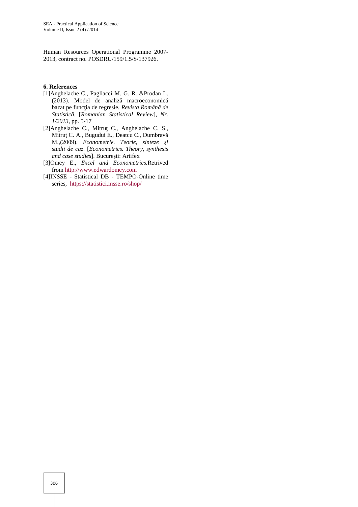Human Resources Operational Programme 2007- 2013, contract no. POSDRU/159/1.5/S/137926.

### **6. References**

- [1]Anghelache C., Pagliacci M. G. R. &Prodan L. (2013). Model de analiz macroeconomic bazat pe func ia de regresie, Revista Român de *Statistică,* [*Romanian Statistical Review*], *Nr. 1/2013*, pp. 5-17
- [2]Anghelache C., Mitru C., Anghelache C. S., Mitru C. A., Bugudui E., Deatcu C., Dumbrav M.,(2009). *Econometrie. Teorie, sinteze i studii de caz*. [*Econometrics. Theory, synthesis and case studies*]. Bucure ti: Artifex
- [3]Omey E., *Excel and Econometrics.*Retrived from http://www.edwardomey.com
- [4]INSSE Statistical DB TEMPO-Online time series, https://statistici.insse.ro/shop/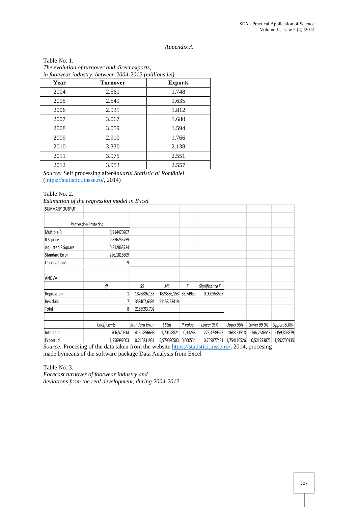## *Appendix A*

|              | in footwear industry, between 2004-2012 (millions lei) |  |
|--------------|--------------------------------------------------------|--|
|              | The evolution of turnover and direct exports,          |  |
| Table No. 1. |                                                        |  |

| Year | <b>Turnover</b> | <b>Exports</b> |
|------|-----------------|----------------|
| 2004 | 2.561           | 1.748          |
| 2005 | 2.549           | 1.635          |
| 2006 | 2.931           | 1.812          |
| 2007 | 3.067           | 1.680          |
| 2008 | 3.059           | 1.594          |
| 2009 | 2.910           | 1.766          |
| 2010 | 3.330           | 2.138          |
| 2011 | 3.975           | 2.551          |
| 2012 | 3.953           | 2.557          |

*Source:* Self processing after*Anuarul Statistic al României* (https://statistici.insse.ro/, 2014)

#### Table No. 2.

*Estimation of the regression model in Excel*

| <b>SUMMARY OUTPUT</b> |                                                                                                    |                       |             |          |                |             |                |             |
|-----------------------|----------------------------------------------------------------------------------------------------|-----------------------|-------------|----------|----------------|-------------|----------------|-------------|
|                       | Regression Statistics                                                                              |                       |             |          |                |             |                |             |
| Multiple R            | 0,914470207                                                                                        |                       |             |          |                |             |                |             |
| R Square              | 0,836255759                                                                                        |                       |             |          |                |             |                |             |
| Adjusted R Square     | 0,812863724                                                                                        |                       |             |          |                |             |                |             |
| <b>Standard Error</b> | 226,1818609                                                                                        |                       |             |          |                |             |                |             |
| <b>Observations</b>   |                                                                                                    |                       |             |          |                |             |                |             |
| ANOVA                 |                                                                                                    |                       |             |          |                |             |                |             |
|                       | df                                                                                                 | SS                    | ΜS          | F        | Significance F |             |                |             |
| Regression            |                                                                                                    | 1828886,153           | 1828886,153 | 35,74959 | 0,000553695    |             |                |             |
| Residual              |                                                                                                    | 358107,6394           | 51158,23419 |          |                |             |                |             |
| Total                 | 8                                                                                                  | 2186993,792           |             |          |                |             |                |             |
|                       | Coefficients                                                                                       | <b>Standard Error</b> | t Stat      | P-value  | Lower 95%      | Upper 95%   | Lower 99,0%    | Upper 99,0% |
| Intercept             | 706,520614                                                                                         | 415,2856698           | 1,70128821  | 0,13268  | $-275,4739523$ | 1688,51518  | $-746,7646513$ | 2159,805879 |
| Exporturi             | 1,256997003                                                                                        | 0,210231931           | 5,979096503 | 0,000554 | 0,759877481    | 1,754116526 | 0,521293872    | 1,992700135 |
|                       | Source: Procesing of the data taken from the website https://statistici.insse.ro/, 2014, procesing |                       |             |          |                |             |                |             |

made bymeans of the software package Data Analysis from Excel

Table No. 3. *Forecast turnover of footwear industry and deviations from the real development, during 2004-2012*